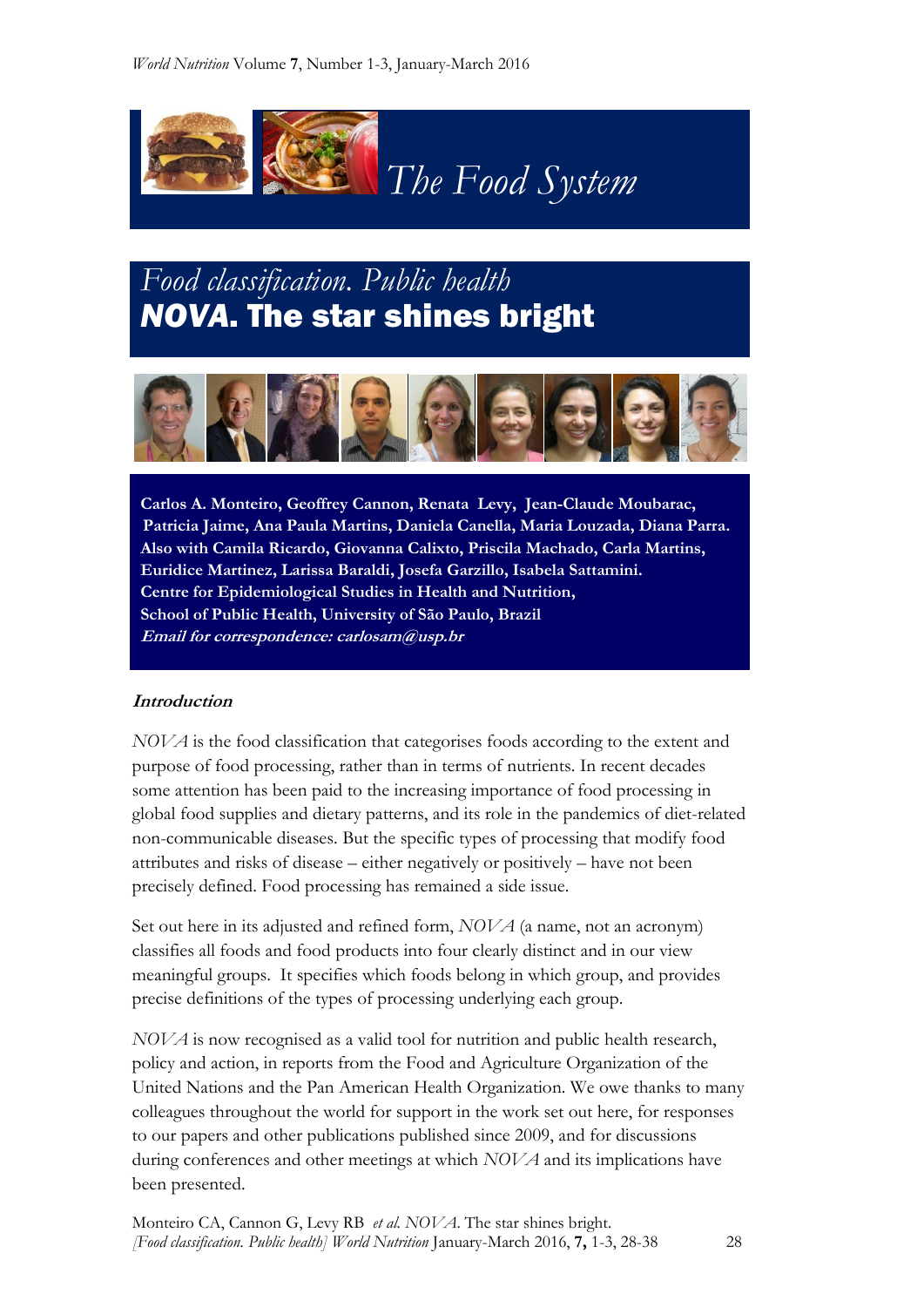

# *Food classification. Public health NOVA*. The star shines bright



 **Carlos A. Monteiro, Geoffrey Cannon, Renata Levy, Jean-Claude Moubarac, Patricia Jaime, Ana Paula Martins, Daniela Canella, Maria Louzada, Diana Parra. Also with Camila Ricardo, Giovanna Calixto, Priscila Machado, Carla Martins, Euridice Martinez, Larissa Baraldi, Josefa Garzillo, Isabela Sattamini. Centre for Epidemiological Studies in Health and Nutrition, School of Public Health, University of São Paulo, Brazil Email for correspondence: carlosam@usp.br**

#### **Introduction**

*NOVA* is the food classification that categorises foods according to the extent and purpose of food processing, rather than in terms of nutrients. In recent decades some attention has been paid to the increasing importance of food processing in global food supplies and dietary patterns, and its role in the pandemics of diet-related non-communicable diseases. But the specific types of processing that modify food attributes and risks of disease – either negatively or positively – have not been precisely defined. Food processing has remained a side issue.

Set out here in its adjusted and refined form, *NOVA* (a name, not an acronym) classifies all foods and food products into four clearly distinct and in our view meaningful groups. It specifies which foods belong in which group, and provides precise definitions of the types of processing underlying each group.

*NOVA* is now recognised as a valid tool for nutrition and public health research, policy and action, in reports from the Food and Agriculture Organization of the United Nations and the Pan American Health Organization. We owe thanks to many colleagues throughout the world for support in the work set out here, for responses to our papers and other publications published since 2009, and for discussions during conferences and other meetings at which *NOVA* and its implications have been presented.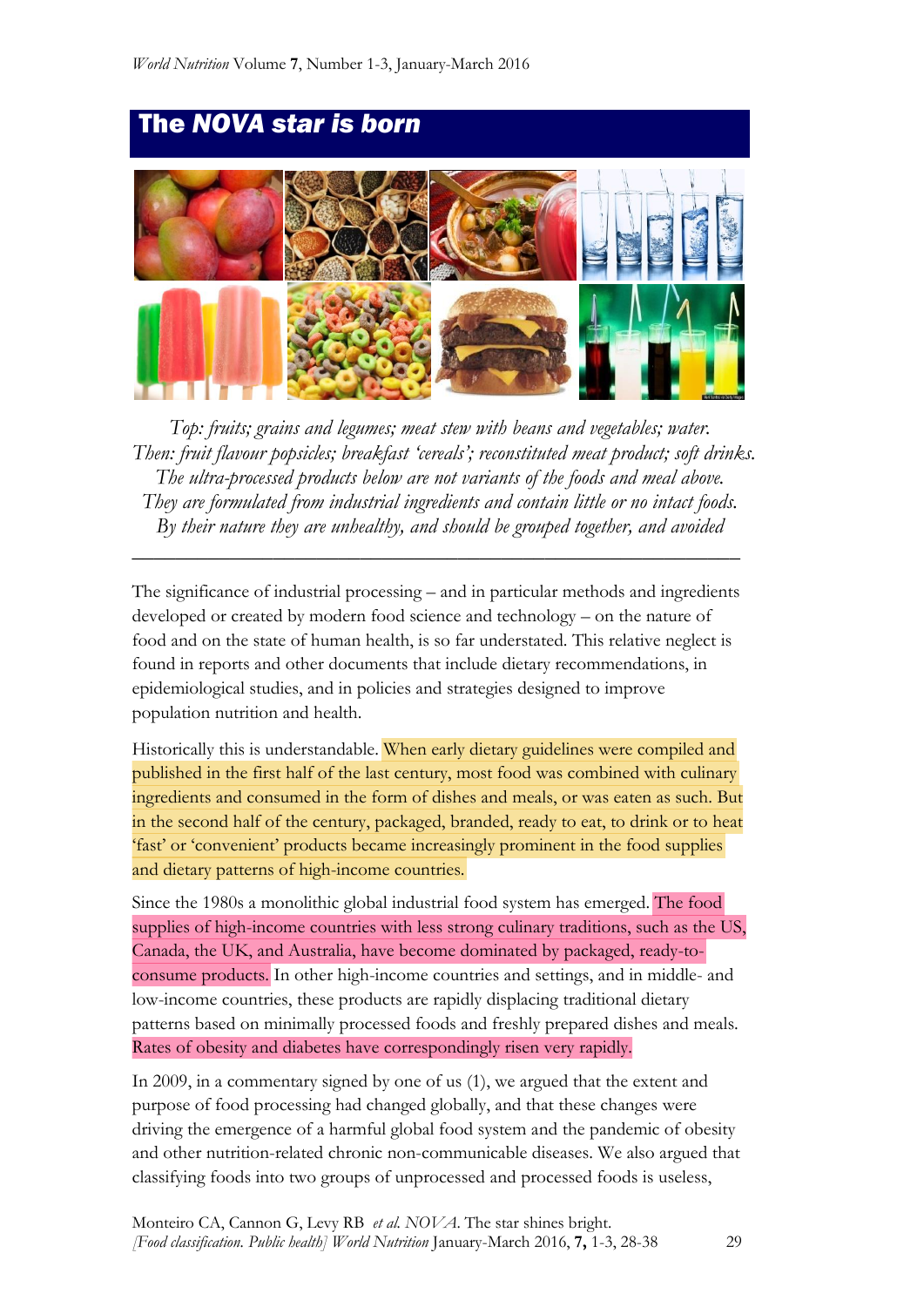

*Top: fruits; grains and legumes; meat stew with beans and vegetables; water. Then: fruit flavour popsicles; breakfast 'cereals'; reconstituted meat product; soft drinks. The ultra-processed products below are not variants of the foods and meal above. They are formulated from industrial ingredients and contain little or no intact foods. By their nature they are unhealthy, and should be grouped together, and avoided*

The significance of industrial processing – and in particular methods and ingredients developed or created by modern food science and technology – on the nature of food and on the state of human health, is so far understated. This relative neglect is found in reports and other documents that include dietary recommendations, in epidemiological studies, and in policies and strategies designed to improve population nutrition and health.

*\_\_\_\_\_\_\_\_\_\_\_\_\_\_\_\_\_\_\_\_\_\_\_\_\_\_\_\_\_\_\_\_\_\_\_\_\_\_\_\_\_\_\_\_\_\_\_\_\_\_\_\_\_\_\_\_*

Historically this is understandable. When early dietary guidelines were compiled and published in the first half of the last century, most food was combined with culinary ingredients and consumed in the form of dishes and meals, or was eaten as such. But in the second half of the century, packaged, branded, ready to eat, to drink or to heat 'fast' or 'convenient' products became increasingly prominent in the food supplies and dietary patterns of high-income countries.

Since the 1980s a monolithic global industrial food system has emerged. The food supplies of high-income countries with less strong culinary traditions, such as the US, Canada, the UK, and Australia, have become dominated by packaged, ready-toconsume products. In other high-income countries and settings, and in middle- and low-income countries, these products are rapidly displacing traditional dietary patterns based on minimally processed foods and freshly prepared dishes and meals. Rates of obesity and diabetes have correspondingly risen very rapidly.

In 2009, in a commentary signed by one of us (1), we argued that the extent and purpose of food processing had changed globally, and that these changes were driving the emergence of a harmful global food system and the pandemic of obesity and other nutrition-related chronic non-communicable diseases. We also argued that classifying foods into two groups of unprocessed and processed foods is useless,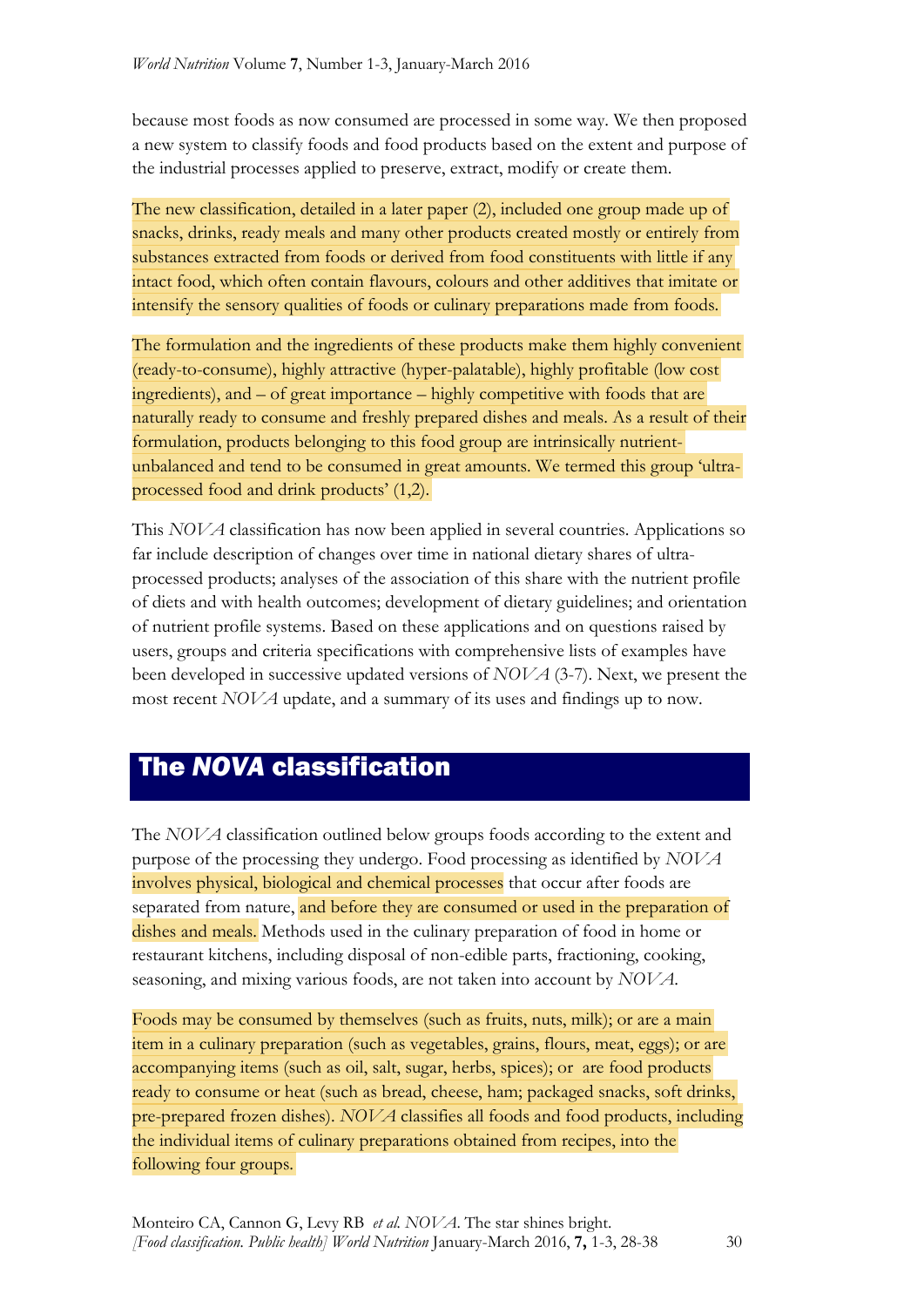because most foods as now consumed are processed in some way. We then proposed a new system to classify foods and food products based on the extent and purpose of the industrial processes applied to preserve, extract, modify or create them.

The new classification, detailed in a later paper (2), included one group made up of snacks, drinks, ready meals and many other products created mostly or entirely from substances extracted from foods or derived from food constituents with little if any intact food, which often contain flavours, colours and other additives that imitate or intensify the sensory qualities of foods or culinary preparations made from foods.

The formulation and the ingredients of these products make them highly convenient (ready-to-consume), highly attractive (hyper-palatable), highly profitable (low cost ingredients), and – of great importance – highly competitive with foods that are naturally ready to consume and freshly prepared dishes and meals. As a result of their formulation, products belonging to this food group are intrinsically nutrientunbalanced and tend to be consumed in great amounts. We termed this group 'ultraprocessed food and drink products' (1,2).

This *NOVA* classification has now been applied in several countries. Applications so far include description of changes over time in national dietary shares of ultraprocessed products; analyses of the association of this share with the nutrient profile of diets and with health outcomes; development of dietary guidelines; and orientation of nutrient profile systems. Based on these applications and on questions raised by users, groups and criteria specifications with comprehensive lists of examples have been developed in successive updated versions of *NOVA* (3-7). Next, we present the most recent *NOVA* update, and a summary of its uses and findings up to now.

## The *NOVA* classification

The *NOVA* classification outlined below groups foods according to the extent and purpose of the processing they undergo. Food processing as identified by *NOVA* involves physical, biological and chemical processes that occur after foods are separated from nature, and before they are consumed or used in the preparation of dishes and meals. Methods used in the culinary preparation of food in home or restaurant kitchens, including disposal of non-edible parts, fractioning, cooking, seasoning, and mixing various foods, are not taken into account by *NOVA*.

Foods may be consumed by themselves (such as fruits, nuts, milk); or are a main item in a culinary preparation (such as vegetables, grains, flours, meat, eggs); or are accompanying items (such as oil, salt, sugar, herbs, spices); or are food products ready to consume or heat (such as bread, cheese, ham; packaged snacks, soft drinks, pre-prepared frozen dishes). *NOVA* classifies all foods and food products, including the individual items of culinary preparations obtained from recipes, into the following four groups.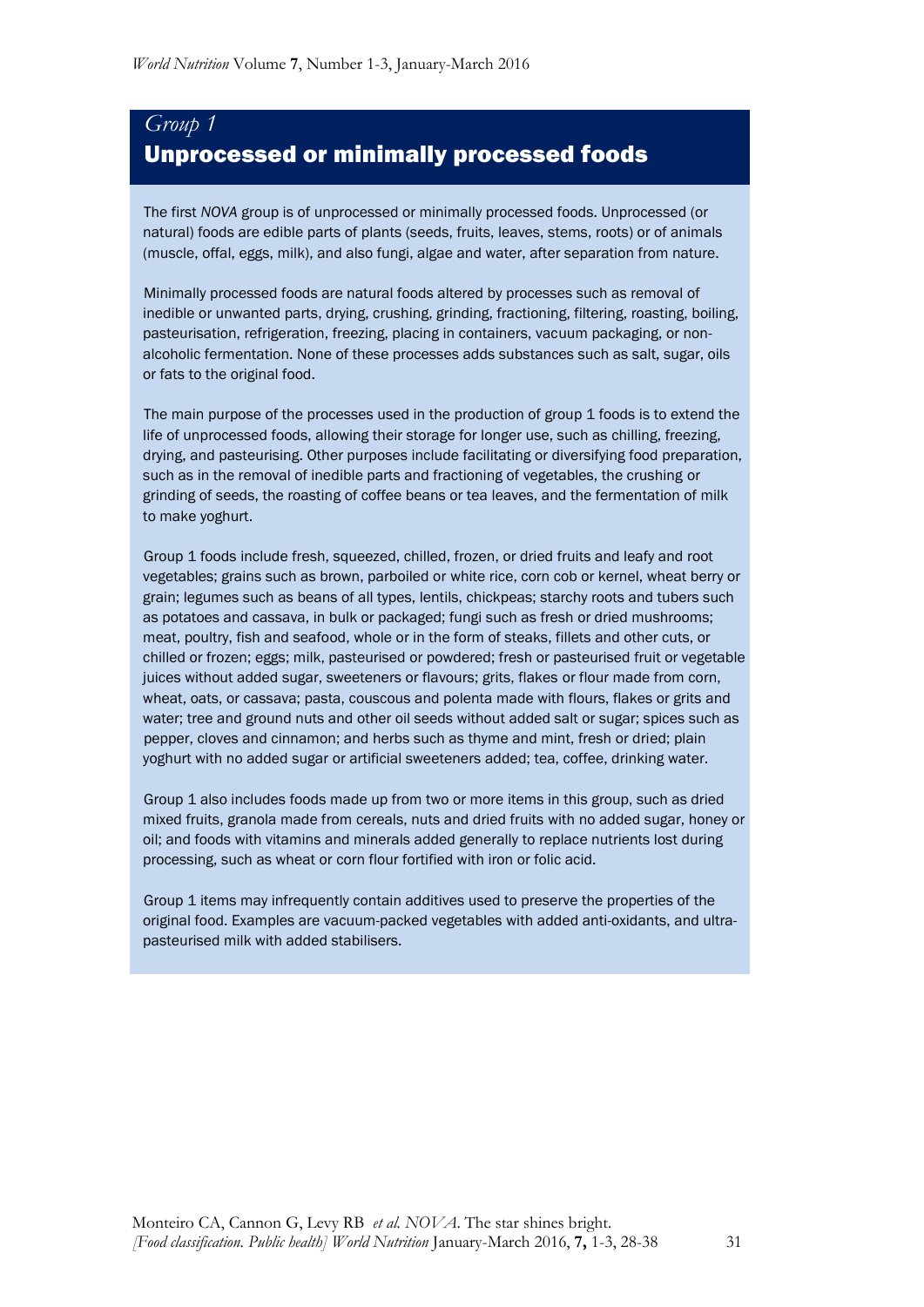## *Group 1* Unprocessed or minimally processed foods

 The first *NOVA* group is of unprocessed or minimally processed foods. Unprocessed (or natural) foods are edible parts of plants (seeds, fruits, leaves, stems, roots) or of animals (muscle, offal, eggs, milk), and also fungi, algae and water, after separation from nature.

 Minimally processed foods are natural foods altered by processes such as removal of inedible or unwanted parts, drying, crushing, grinding, fractioning, filtering, roasting, boiling, pasteurisation, refrigeration, freezing, placing in containers, vacuum packaging, or nonalcoholic fermentation. None of these processes adds substances such as salt, sugar, oils or fats to the original food.

 The main purpose of the processes used in the production of group 1 foods is to extend the life of unprocessed foods, allowing their storage for longer use, such as chilling, freezing, drying, and pasteurising. Other purposes include facilitating or diversifying food preparation, such as in the removal of inedible parts and fractioning of vegetables, the crushing or grinding of seeds, the roasting of coffee beans or tea leaves, and the fermentation of milk to make yoghurt.

 Group 1 foods include fresh, squeezed, chilled, frozen, or dried fruits and leafy and root vegetables; grains such as brown, parboiled or white rice, corn cob or kernel, wheat berry or grain; legumes such as beans of all types, lentils, chickpeas; starchy roots and tubers such as potatoes and cassava, in bulk or packaged; fungi such as fresh or dried mushrooms; meat, poultry, fish and seafood, whole or in the form of steaks, fillets and other cuts, or chilled or frozen; eggs; milk, pasteurised or powdered; fresh or pasteurised fruit or vegetable juices without added sugar, sweeteners or flavours; grits, flakes or flour made from corn, wheat, oats, or cassava; pasta, couscous and polenta made with flours, flakes or grits and water; tree and ground nuts and other oil seeds without added salt or sugar; spices such as pepper, cloves and cinnamon; and herbs such as thyme and mint, fresh or dried; plain yoghurt with no added sugar or artificial sweeteners added; tea, coffee, drinking water.

 Group 1 also includes foods made up from two or more items in this group, such as dried mixed fruits, granola made from cereals, nuts and dried fruits with no added sugar, honey or oil; and foods with vitamins and minerals added generally to replace nutrients lost during processing, such as wheat or corn flour fortified with iron or folic acid.

 Group 1 items may infrequently contain additives used to preserve the properties of the original food. Examples are vacuum-packed vegetables with added anti-oxidants, and ultrapasteurised milk with added stabilisers.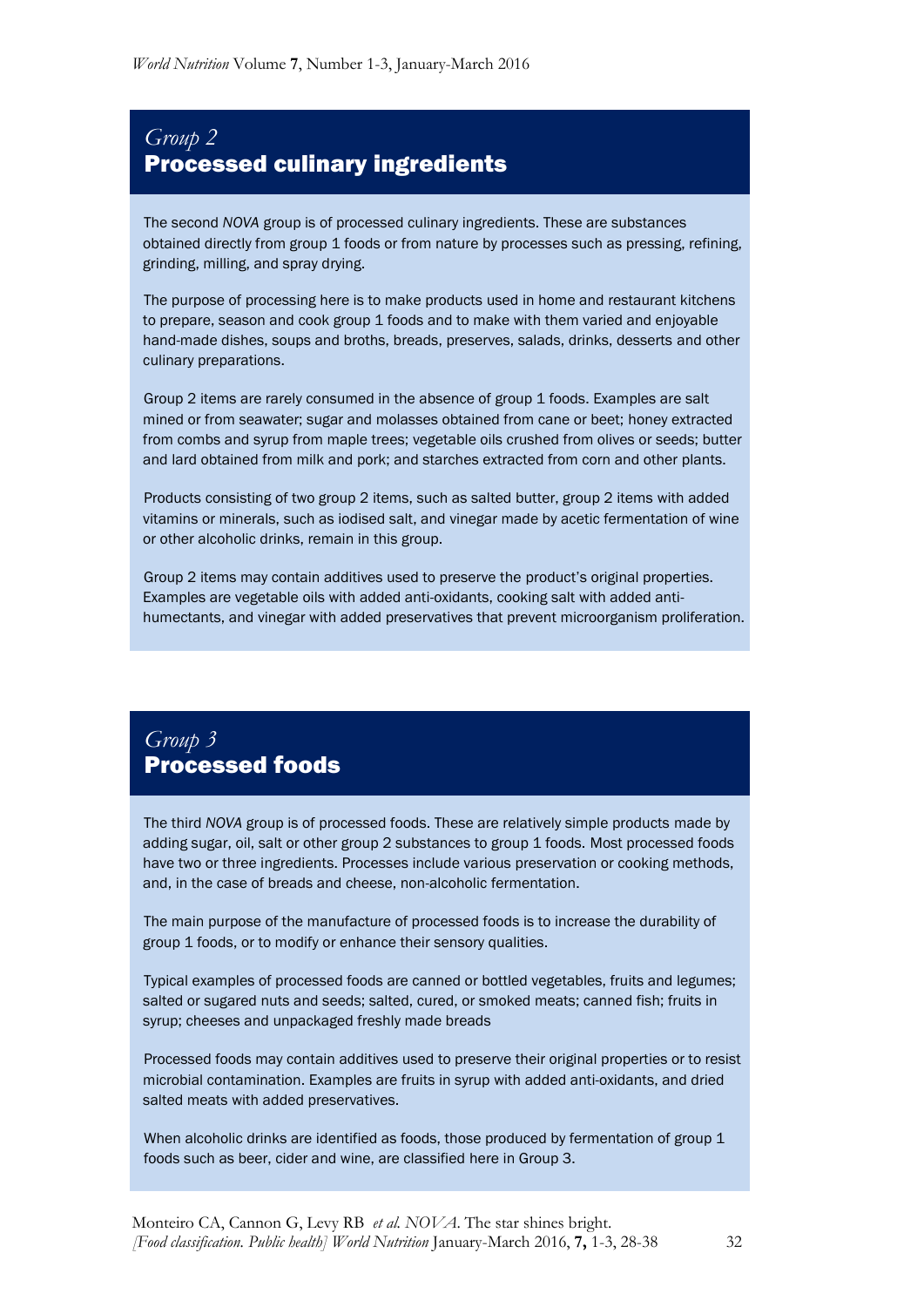## *Group 2* Processed culinary ingredients

 The second *NOVA* group is of processed culinary ingredients. These are substances obtained directly from group 1 foods or from nature by processes such as pressing, refining, grinding, milling, and spray drying.

 The purpose of processing here is to make products used in home and restaurant kitchens to prepare, season and cook group 1 foods and to make with them varied and enjoyable hand-made dishes, soups and broths, breads, preserves, salads, drinks, desserts and other culinary preparations.

 Group 2 items are rarely consumed in the absence of group 1 foods. Examples are salt mined or from seawater; sugar and molasses obtained from cane or beet; honey extracted from combs and syrup from maple trees; vegetable oils crushed from olives or seeds; butter and lard obtained from milk and pork; and starches extracted from corn and other plants.

 Products consisting of two group 2 items, such as salted butter, group 2 items with added vitamins or minerals, such as iodised salt, and vinegar made by acetic fermentation of wine or other alcoholic drinks, remain in this group.

 Group 2 items may contain additives used to preserve the product's original properties. Examples are vegetable oils with added anti-oxidants, cooking salt with added antihumectants, and vinegar with added preservatives that prevent microorganism proliferation.

## *Group 3* Processed foods

 The third *NOVA* group is of processed foods. These are relatively simple products made by adding sugar, oil, salt or other group 2 substances to group 1 foods. Most processed foods have two or three ingredients. Processes include various preservation or cooking methods, and, in the case of breads and cheese, non-alcoholic fermentation.

 The main purpose of the manufacture of processed foods is to increase the durability of group 1 foods, or to modify or enhance their sensory qualities.

 Typical examples of processed foods are canned or bottled vegetables, fruits and legumes; salted or sugared nuts and seeds; salted, cured, or smoked meats; canned fish; fruits in syrup; cheeses and unpackaged freshly made breads

 Processed foods may contain additives used to preserve their original properties or to resist microbial contamination. Examples are fruits in syrup with added anti-oxidants, and dried salted meats with added preservatives.

When alcoholic drinks are identified as foods, those produced by fermentation of group 1 foods such as beer, cider and wine, are classified here in Group 3.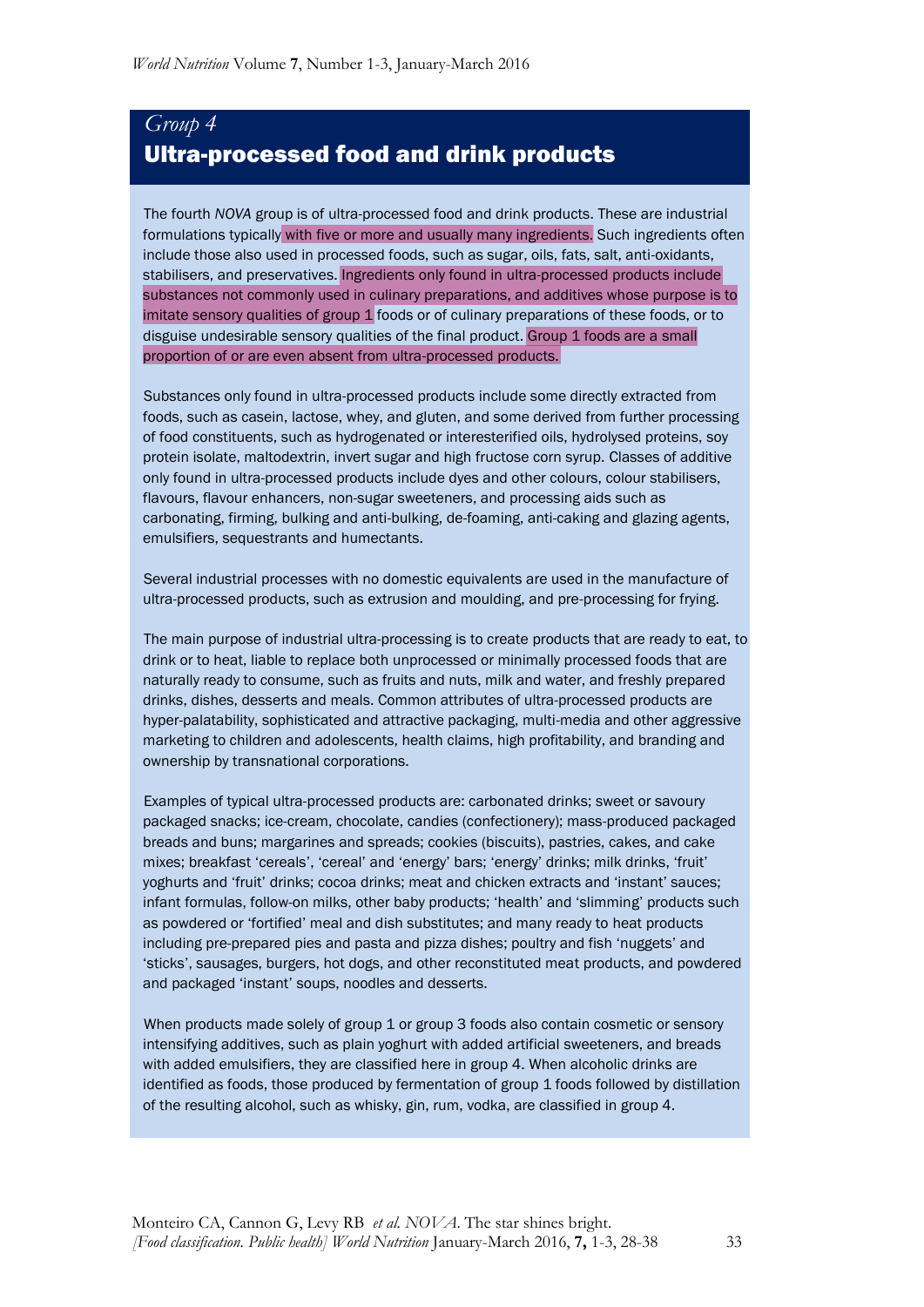## *Group 4* Ultra-processed food and drink products

 The fourth *NOVA* group is of ultra-processed food and drink products. These are industrial formulations typically with five or more and usually many ingredients. Such ingredients often include those also used in processed foods, such as sugar, oils, fats, salt, anti-oxidants, stabilisers, and preservatives. Ingredients only found in ultra-processed products include substances not commonly used in culinary preparations, and additives whose purpose is to imitate sensory qualities of group  $1$  foods or of culinary preparations of these foods, or to disguise undesirable sensory qualities of the final product. Group 1 foods are a small proportion of or are even absent from ultra-processed products.

 Substances only found in ultra-processed products include some directly extracted from foods, such as casein, lactose, whey, and gluten, and some derived from further processing of food constituents, such as hydrogenated or interesterified oils, hydrolysed proteins, soy protein isolate, maltodextrin, invert sugar and high fructose corn syrup. Classes of additive only found in ultra-processed products include dyes and other colours, colour stabilisers, flavours, flavour enhancers, non-sugar sweeteners, and processing aids such as carbonating, firming, bulking and anti-bulking, de-foaming, anti-caking and glazing agents, emulsifiers, sequestrants and humectants.

 Several industrial processes with no domestic equivalents are used in the manufacture of ultra-processed products, such as extrusion and moulding, and pre-processing for frying.

 The main purpose of industrial ultra-processing is to create products that are ready to eat, to drink or to heat, liable to replace both unprocessed or minimally processed foods that are naturally ready to consume, such as fruits and nuts, milk and water, and freshly prepared drinks, dishes, desserts and meals. Common attributes of ultra-processed products are hyper-palatability, sophisticated and attractive packaging, multi-media and other aggressive marketing to children and adolescents, health claims, high profitability, and branding and ownership by transnational corporations.

 Examples of typical ultra-processed products are: carbonated drinks; sweet or savoury packaged snacks; ice-cream, chocolate, candies (confectionery); mass-produced packaged breads and buns; margarines and spreads; cookies (biscuits), pastries, cakes, and cake mixes; breakfast 'cereals', 'cereal' and 'energy' bars; 'energy' drinks; milk drinks, 'fruit' yoghurts and 'fruit' drinks; cocoa drinks; meat and chicken extracts and 'instant' sauces; infant formulas, follow-on milks, other baby products; 'health' and 'slimming' products such as powdered or 'fortified' meal and dish substitutes; and many ready to heat products including pre-prepared pies and pasta and pizza dishes; poultry and fish 'nuggets' and 'sticks', sausages, burgers, hot dogs, and other reconstituted meat products, and powdered and packaged 'instant' soups, noodles and desserts.

When products made solely of group 1 or group 3 foods also contain cosmetic or sensory intensifying additives, such as plain yoghurt with added artificial sweeteners, and breads with added emulsifiers, they are classified here in group 4. When alcoholic drinks are identified as foods, those produced by fermentation of group 1 foods followed by distillation of the resulting alcohol, such as whisky, gin, rum, vodka, are classified in group 4.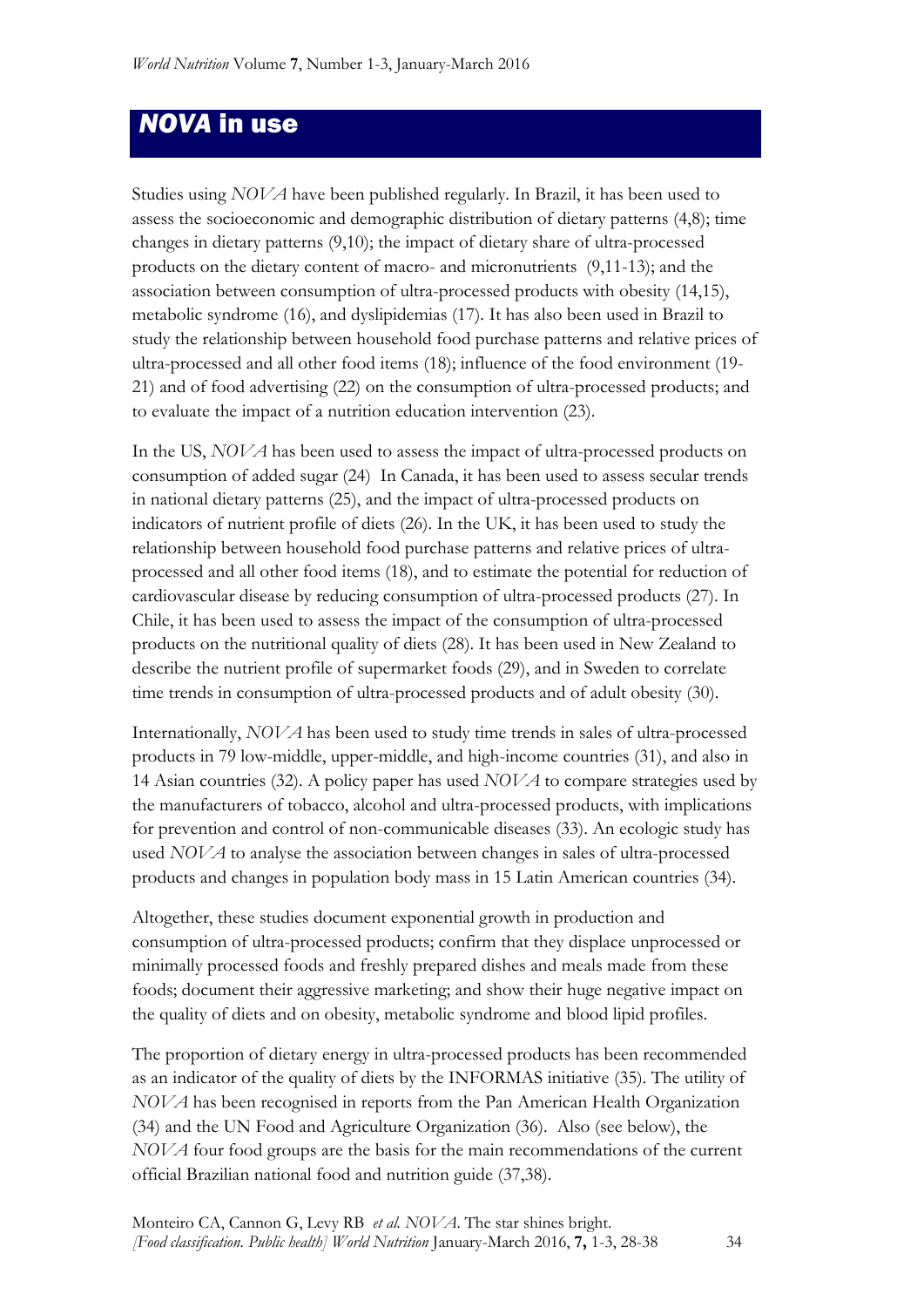## *NOVA* in use

Studies using *NOVA* have been published regularly. In Brazil, it has been used to assess the socioeconomic and demographic distribution of dietary patterns (4,8); time changes in dietary patterns (9,10); the impact of dietary share of ultra-processed products on the dietary content of macro- and micronutrients (9,11-13); and the association between consumption of ultra-processed products with obesity (14,15), metabolic syndrome (16), and dyslipidemias (17). It has also been used in Brazil to study the relationship between household food purchase patterns and relative prices of ultra-processed and all other food items (18); influence of the food environment (19- 21) and of food advertising (22) on the consumption of ultra-processed products; and to evaluate the impact of a nutrition education intervention (23).

In the US, *NOVA* has been used to assess the impact of ultra-processed products on consumption of added sugar (24) In Canada, it has been used to assess secular trends in national dietary patterns (25), and the impact of ultra-processed products on indicators of nutrient profile of diets (26). In the UK, it has been used to study the relationship between household food purchase patterns and relative prices of ultraprocessed and all other food items (18), and to estimate the potential for reduction of cardiovascular disease by reducing consumption of ultra-processed products (27). In Chile, it has been used to assess the impact of the consumption of ultra-processed products on the nutritional quality of diets (28). It has been used in New Zealand to describe the nutrient profile of supermarket foods (29), and in Sweden to correlate time trends in consumption of ultra-processed products and of adult obesity (30).

Internationally, *NOVA* has been used to study time trends in sales of ultra-processed products in 79 low-middle, upper-middle, and high-income countries (31), and also in 14 Asian countries (32). A policy paper has used *NOVA* to compare strategies used by the manufacturers of tobacco, alcohol and ultra-processed products, with implications for prevention and control of non-communicable diseases (33). An ecologic study has used *NOVA* to analyse the association between changes in sales of ultra-processed products and changes in population body mass in 15 Latin American countries (34).

Altogether, these studies document exponential growth in production and consumption of ultra-processed products; confirm that they displace unprocessed or minimally processed foods and freshly prepared dishes and meals made from these foods; document their aggressive marketing; and show their huge negative impact on the quality of diets and on obesity, metabolic syndrome and blood lipid profiles.

The proportion of dietary energy in ultra-processed products has been recommended as an indicator of the quality of diets by the INFORMAS initiative (35). The utility of *NOVA* has been recognised in reports from the Pan American Health Organization (34) and the UN Food and Agriculture Organization (36). Also (see below), the *NOVA* four food groups are the basis for the main recommendations of the current official Brazilian national food and nutrition guide (37,38).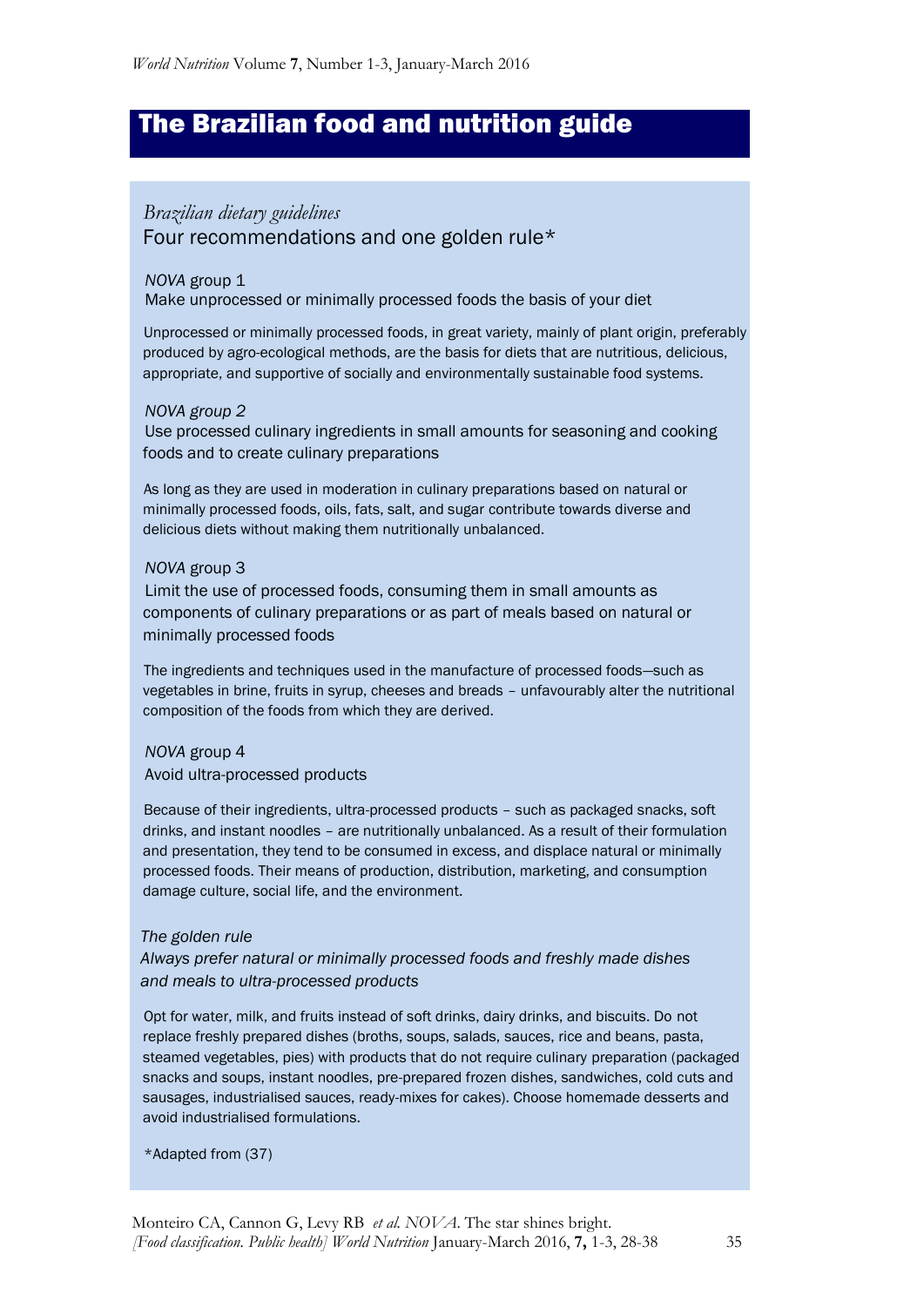## The Brazilian food and nutrition guide

### *Brazilian dietary guidelines* Four recommendations and one golden rule\*

#### *NOVA* group 1

Make unprocessed or minimally processed foods the basis of your diet

 Unprocessed or minimally processed foods, in great variety, mainly of plant origin, preferably produced by agro-ecological methods, are the basis for diets that are nutritious, delicious, appropriate, and supportive of socially and environmentally sustainable food systems.

#### *NOVA group 2*

 Use processed culinary ingredients in small amounts for seasoning and cooking foods and to create culinary preparations

 As long as they are used in moderation in culinary preparations based on natural or minimally processed foods, oils, fats, salt, and sugar contribute towards diverse and delicious diets without making them nutritionally unbalanced.

#### *NOVA* group 3

 Limit the use of processed foods, consuming them in small amounts as components of culinary preparations or as part of meals based on natural or minimally processed foods

 The ingredients and techniques used in the manufacture of processed foods—such as vegetables in brine, fruits in syrup, cheeses and breads – unfavourably alter the nutritional composition of the foods from which they are derived.

#### *NOVA* group 4

Avoid ultra-processed products

 Because of their ingredients, ultra-processed products – such as packaged snacks, soft drinks, and instant noodles – are nutritionally unbalanced. As a result of their formulation and presentation, they tend to be consumed in excess, and displace natural or minimally processed foods. Their means of production, distribution, marketing, and consumption damage culture, social life, and the environment.

#### *The golden rule*

#### *Always prefer natural or minimally processed foods and freshly made dishes and meals to ultra-processed products*

 Opt for water, milk, and fruits instead of soft drinks, dairy drinks, and biscuits. Do not replace freshly prepared dishes (broths, soups, salads, sauces, rice and beans, pasta, steamed vegetables, pies) with products that do not require culinary preparation (packaged snacks and soups, instant noodles, pre-prepared frozen dishes, sandwiches, cold cuts and sausages, industrialised sauces, ready-mixes for cakes). Choose homemade desserts and avoid industrialised formulations.

\*Adapted from (37)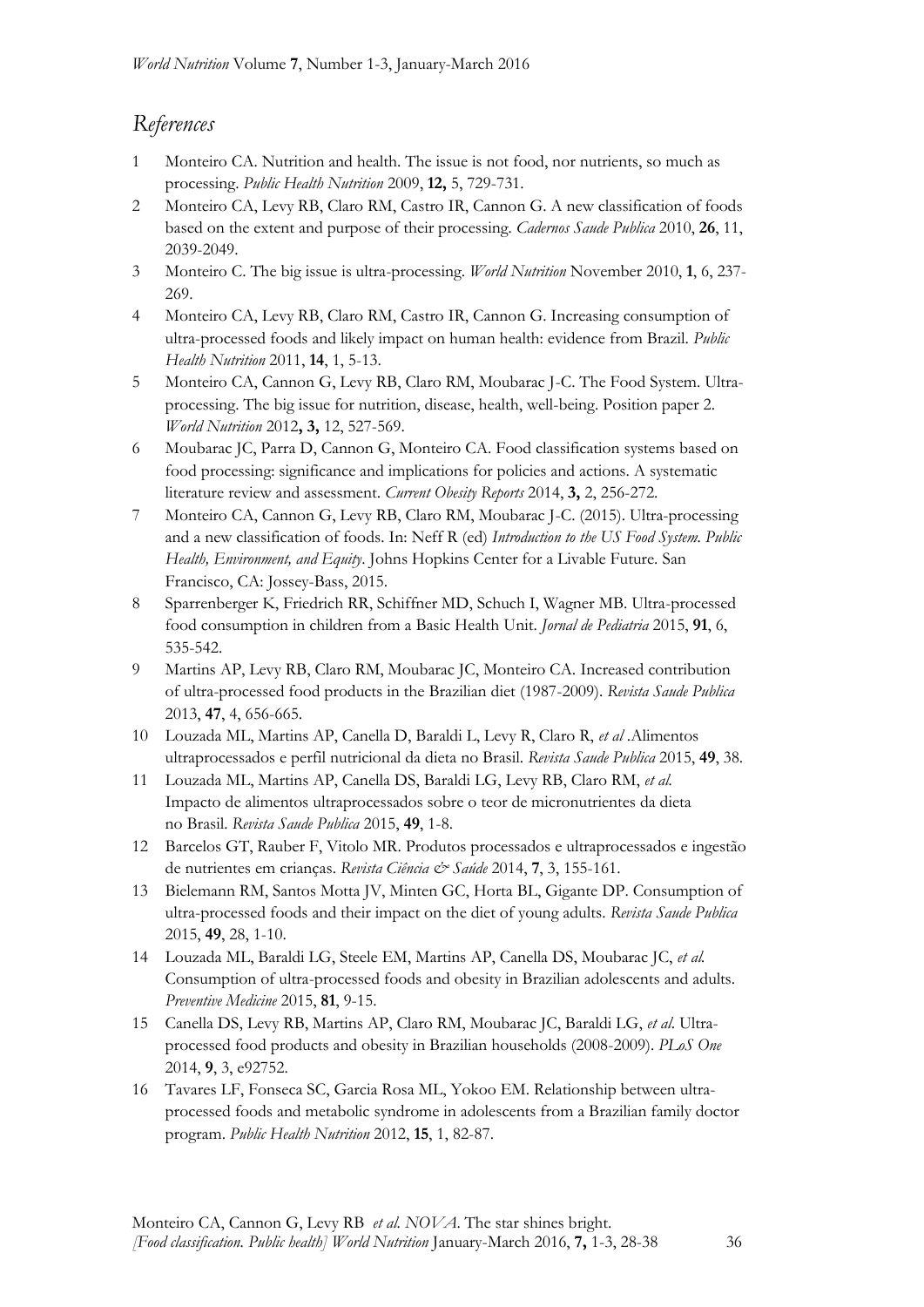### *References*

- 1 Monteiro CA. Nutrition and health. The issue is not food, nor nutrients, so much as processing. *Public Health Nutrition* 2009, **12,** 5, 729-731.
- 2 Monteiro CA, Levy RB, Claro RM, Castro IR, Cannon G. A new classification of foods based on the extent and purpose of their processing*. Cadernos Saude Publica* 2010, **26**, 11, 2039-2049.
- 3 Monteiro C. The big issue is ultra-processing. *World Nutrition* November 2010, **1**, 6, 237- 269.
- 4 Monteiro CA, Levy RB, Claro RM, Castro IR, Cannon G. Increasing consumption of ultra-processed foods and likely impact on human health: evidence from Brazil. *Public Health Nutrition* 2011, **14**, 1, 5-13.
- 5 Monteiro CA, Cannon G, Levy RB, Claro RM, Moubarac J-C. The Food System. Ultraprocessing. The big issue for nutrition, disease, health, well-being. Position paper 2. *World Nutrition* 2012**, 3,** 12, 527-569.
- 6 Moubarac JC, Parra D, Cannon G, Monteiro CA. Food classification systems based on food processing: significance and implications for policies and actions. A systematic literature review and assessment. *Current Obesity Reports* 2014, **3,** 2, 256-272.
- 7 Monteiro CA, Cannon G, Levy RB, Claro RM, Moubarac J-C. (2015). Ultra-processing and a new classification of foods. In: Neff R (ed) *Introduction to the US Food System. Public Health, Environment, and Equity*. Johns Hopkins Center for a Livable Future. San Francisco, CA: Jossey-Bass, 2015.
- 8 Sparrenberger K, Friedrich RR, Schiffner MD, Schuch I, Wagner MB. Ultra-processed food consumption in children from a Basic Health Unit. *Jornal de Pediatria* 2015, **91**, 6, 535-542.
- 9 Martins AP, Levy RB, Claro RM, Moubarac JC, Monteiro CA. Increased contribution of ultra-processed food products in the Brazilian diet (1987-2009). *Revista Saude Publica* 2013, **47**, 4, 656-665.
- 10 Louzada ML, Martins AP, Canella D, Baraldi L, Levy R, Claro R, *et al* .Alimentos ultraprocessados e perfil nutricional da dieta no Brasil. *Revista Saude Publica* 2015, **49**, 38.
- 11 Louzada ML, Martins AP, Canella DS, Baraldi LG, Levy RB, Claro RM, *et al.* Impacto de alimentos ultraprocessados sobre o teor de micronutrientes da dieta no Brasil. *Revista Saude Publica* 2015, **49**, 1-8.
- 12 Barcelos GT, Rauber F, Vitolo MR. Produtos processados e ultraprocessados e ingestão de nutrientes em crianças. *Revista Ciência & Saúde* 2014, **7**, 3, 155-161.
- 13 Bielemann RM, Santos Motta JV, Minten GC, Horta BL, Gigante DP. Consumption of ultra-processed foods and their impact on the diet of young adults. *Revista Saude Publica*  2015, **49**, 28, 1-10.
- 14 Louzada ML, Baraldi LG, Steele EM, Martins AP, Canella DS, Moubarac JC, *et al.* Consumption of ultra-processed foods and obesity in Brazilian adolescents and adults. *Preventive Medicine* 2015, **81**, 9-15.
- 15 Canella DS, Levy RB, Martins AP, Claro RM, Moubarac JC, Baraldi LG, *et al*. Ultraprocessed food products and obesity in Brazilian households (2008-2009). *PLoS One* 2014, **9**, 3, e92752.
- 16 Tavares LF, Fonseca SC, Garcia Rosa ML, Yokoo EM. Relationship between ultraprocessed foods and metabolic syndrome in adolescents from a Brazilian family doctor program. *Public Health Nutrition* 2012, **15**, 1, 82-87.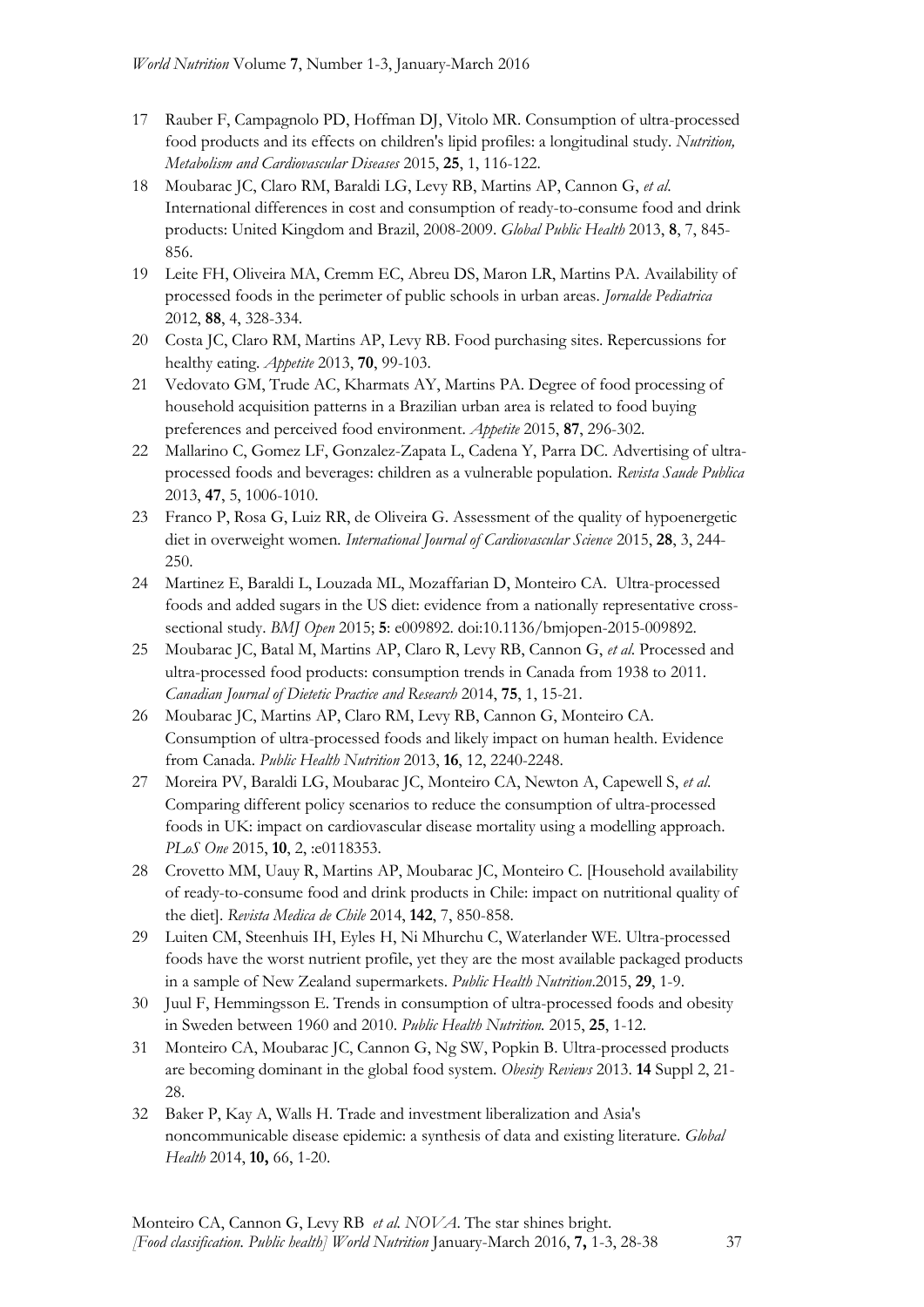- 17 Rauber F, Campagnolo PD, Hoffman DJ, Vitolo MR. Consumption of ultra-processed food products and its effects on children's lipid profiles: a longitudinal study. *Nutrition, Metabolism and Cardiovascular Diseases* 2015, **25**, 1, 116-122.
- 18 Moubarac JC, Claro RM, Baraldi LG, Levy RB, Martins AP, Cannon G, *et al*. International differences in cost and consumption of ready-to-consume food and drink products: United Kingdom and Brazil, 2008-2009. *Global Public Health* 2013, **8**, 7, 845- 856.
- 19 Leite FH, Oliveira MA, Cremm EC, Abreu DS, Maron LR, Martins PA. Availability of processed foods in the perimeter of public schools in urban areas. *Jornalde Pediatrica* 2012, **88**, 4, 328-334.
- 20 Costa JC, Claro RM, Martins AP, Levy RB. Food purchasing sites. Repercussions for healthy eating. *Appetite* 2013, **70**, 99-103.
- 21 Vedovato GM, Trude AC, Kharmats AY, Martins PA. Degree of food processing of household acquisition patterns in a Brazilian urban area is related to food buying preferences and perceived food environment. *Appetite* 2015, **87**, 296-302.
- 22 Mallarino C, Gomez LF, Gonzalez-Zapata L, Cadena Y, Parra DC. Advertising of ultraprocessed foods and beverages: children as a vulnerable population. *Revista Saude Publica*  2013, **47**, 5, 1006-1010.
- 23 Franco P, Rosa G, Luiz RR, de Oliveira G. Assessment of the quality of hypoenergetic diet in overweight women*. International Journal of Cardiovascular Science* 2015, **28**, 3, 244- 250.
- 24 Martinez E, Baraldi L, Louzada ML, Mozaffarian D, Monteiro CA. Ultra-processed foods and added sugars in the US diet: evidence from a nationally representative crosssectional study. *BMJ Open* 2015; **5**: e009892. doi:10.1136/bmjopen-2015-009892.
- 25 Moubarac JC, Batal M, Martins AP, Claro R, Levy RB, Cannon G, *et al*. Processed and ultra-processed food products: consumption trends in Canada from 1938 to 2011. *Canadian Journal of Dietetic Practice and Research* 2014, **75**, 1, 15-21.
- 26 Moubarac JC, Martins AP, Claro RM, Levy RB, Cannon G, Monteiro CA. Consumption of ultra-processed foods and likely impact on human health. Evidence from Canada. *Public Health Nutrition* 2013, **16**, 12, 2240-2248.
- 27 Moreira PV, Baraldi LG, Moubarac JC, Monteiro CA, Newton A, Capewell S, *et al*. Comparing different policy scenarios to reduce the consumption of ultra-processed foods in UK: impact on cardiovascular disease mortality using a modelling approach. *PLoS One* 2015, **10**, 2, :e0118353.
- 28 Crovetto MM, Uauy R, Martins AP, Moubarac JC, Monteiro C. [Household availability of ready-to-consume food and drink products in Chile: impact on nutritional quality of the diet]. *Revista Medica de Chile* 2014, **142**, 7, 850-858.
- 29 Luiten CM, Steenhuis IH, Eyles H, Ni Mhurchu C, Waterlander WE. Ultra-processed foods have the worst nutrient profile, yet they are the most available packaged products in a sample of New Zealand supermarkets. *Public Health Nutrition*.2015, **29**, 1-9.
- 30 Juul F, Hemmingsson E. Trends in consumption of ultra-processed foods and obesity in Sweden between 1960 and 2010. *Public Health Nutrition.* 2015, **25**, 1-12.
- 31 Monteiro CA, Moubarac JC, Cannon G, Ng SW, Popkin B. Ultra-processed products are becoming dominant in the global food system. *Obesity Reviews* 2013. **14** Suppl 2, 21- 28.
- 32 Baker P, Kay A, Walls H. Trade and investment liberalization and Asia's noncommunicable disease epidemic: a synthesis of data and existing literature. *Global Health* 2014, **10,** 66, 1-20.